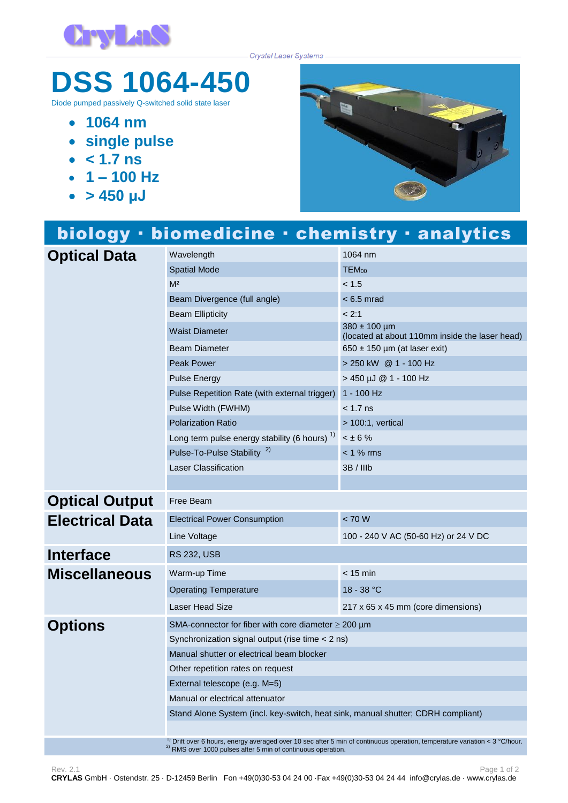

Crystal Laser Systems

## **DSS 1064-450**

Diode pumped passively Q-switched solid state laser

- **1064 nm**
- **single pulse**
- $\cdot$   $\leq 1.7$  **ns**
- $-1 100$  Hz
- **> 450 μJ**



## biology · biomedicine · chemistry · analytics **Optical Data** Wavelength 1064 nm<br>Spatial Mode TEM<sub>00</sub> **Spatial Mode**  $M<sup>2</sup>$  and  $M<sup>2</sup>$  and  $M<sup>2</sup>$  and  $M<sup>2</sup>$ Beam Divergence (full angle) < 6.5 mrad Beam Ellipticity **Example 2:1** Waist Diameter 380 ± 100 µm (located at about 110mm inside the laser head) Beam Diameter 650 ± 150 µm (at laser exit) Peak Power 200 and 200 kW @ 1 - 100 Hz Pulse Energy > 450 µJ @ 1 - 100 Hz Pulse Repetition Rate (with external trigger) 1 - 100 Hz Pulse Width (FWHM)  $<$  1.7 ns Polarization Ratio > 100:1, vertical Long term pulse energy stability (6 hours)  $<sup>1</sup>$ </sup>  $< \pm 6$  % Pulse-To-Pulse Stability<sup>2)</sup> < 1 % rms Laser Classification 3B / IIIb **Optical Output** Free Beam **Electrical Data** Electrical Power Consumption < 70 W Line Voltage 100 - 240 V AC (50-60 Hz) or 24 V DC **Interface** RS 232, USB **Miscellaneous** Warm-up Time  $\sim$  15 min Operating Temperature 18 - 38 °C Laser Head Size 217 x 65 x 45 mm (core dimensions) **Options** SMA-connector for fiber with core diameter ≥ 200 µm Synchronization signal output (rise time < 2 ns) Manual shutter or electrical beam blocker Other repetition rates on request External telescope (e.g. M=5) Manual or electrical attenuator Stand Alone System (incl. key-switch, heat sink, manual shutter; CDRH compliant)

 $\frac{1}{6}$  Drift over 6 hours, energy averaged over 10 sec after 5 min of continuous operation, temperature variation < 3 °C/hour.  $^{2)}$  RMS over 1000 pulses after 5 min of continuous operation.